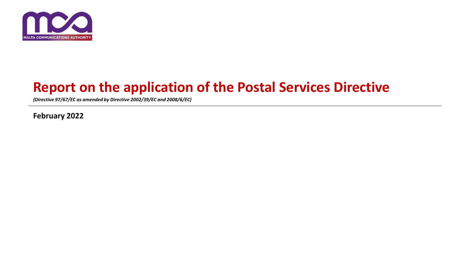

# **Report on the application of the Postal Services Directive**

*(Directive 97/67/EC as amended by Directive 2002/39/EC and 2008/6/EC)* 

**February 2022**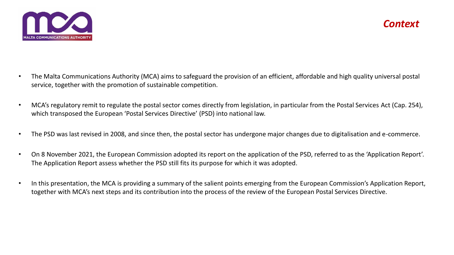

- The Malta Communications Authority (MCA) aims to safeguard the provision of an efficient, affordable and high quality universal postal service, together with the promotion of sustainable competition.
- MCA's regulatory remit to regulate the postal sector comes directly from legislation, in particular from the Postal Services Act (Cap. 254), which transposed the European 'Postal Services Directive' (PSD) into national law.
- The PSD was last revised in 2008, and since then, the postal sector has undergone major changes due to digitalisation and e-commerce.
- On 8 November 2021, the European Commission adopted its report on the application of the PSD, referred to as the 'Application Report'. The Application Report assess whether the PSD still fits its purpose for which it was adopted.
- In this presentation, the MCA is providing a summary of the salient points emerging from the European Commission's Application Report, together with MCA's next steps and its contribution into the process of the review of the European Postal Services Directive.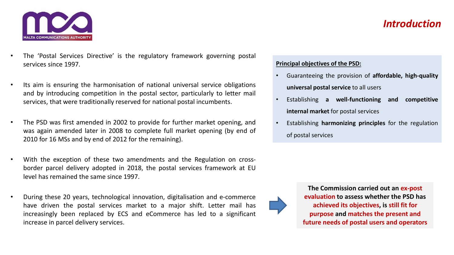## *Introduction*



- The 'Postal Services Directive' is the regulatory framework governing postal services since 1997.
- Its aim is ensuring the harmonisation of national universal service obligations and by introducing competition in the postal sector, particularly to letter mail services, that were traditionally reserved for national postal incumbents.
- The PSD was first amended in 2002 to provide for further market opening, and was again amended later in 2008 to complete full market opening (by end of 2010 for 16 MSs and by end of 2012 for the remaining).
- With the exception of these two amendments and the Regulation on crossborder parcel delivery adopted in 2018, the postal services framework at EU level has remained the same since 1997.
- During these 20 years, technological innovation, digitalisation and e-commerce have driven the postal services market to a major shift. Letter mail has increasingly been replaced by ECS and eCommerce has led to a significant increase in parcel delivery services.

### **Principal objectives of the PSD:**

- Guaranteeing the provision of **affordable, high-quality universal postal service** to all users
- Establishing **a well-functioning and competitive internal market** for postal services
- Establishing **harmonizing principles** for the regulation of postal services



**The Commission carried out an ex-post evaluation to assess whether the PSD has achieved its objectives, is still fit for purpose and matches the present and future needs of postal users and operators**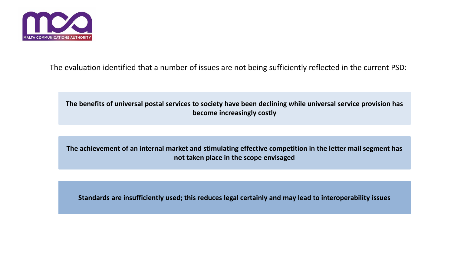

The evaluation identified that a number of issues are not being sufficiently reflected in the current PSD:

**The benefits of universal postal services to society have been declining while universal service provision has become increasingly costly**

**The achievement of an internal market and stimulating effective competition in the letter mail segment has not taken place in the scope envisaged**

**Standards are insufficiently used; this reduces legal certainly and may lead to interoperability issues**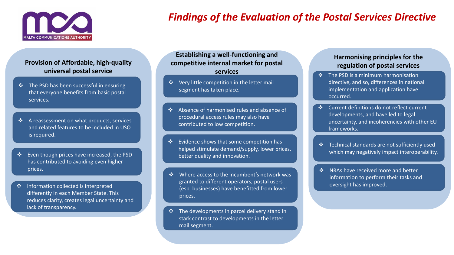

# *Findings of the Evaluation of the Postal Services Directive*

#### **Provision of Affordable, high-quality universal postal service**

- The PSD has been successful in ensuring that everyone benefits from basic postal services.
- A reassessment on what products, services and related features to be included in USO is required.
- Even though prices have increased, the PSD has contributed to avoiding even higher prices.
- Information collected is interpreted differently in each Member State. This reduces clarity, creates legal uncertainty and lack of transparency.

**Establishing a well-functioning and competitive internal market for postal services**

- ❖ Very little competition in the letter mail segment has taken place.
- Absence of harmonised rules and absence of procedural access rules may also have contributed to low competition.
- Evidence shows that some competition has helped stimulate demand/supply, lower prices, better quality and innovation.
- Where access to the incumbent's network was granted to different operators, postal users (esp. businesses) have benefitted from lower prices.
- $\cdot$  The developments in parcel delivery stand in stark contrast to developments in the letter mail segment.

#### **Harmonising principles for the regulation of postal services**

- $\div$  The PSD is a minimum harmonisation directive, and so, differences in national implementation and application have occurred.
- Current definitions do not reflect current developments, and have led to legal uncertainty, and incoherencies with other EU frameworks.
- Technical standards are not sufficiently used which may negatively impact interoperability.
- NRAs have received more and better information to perform their tasks and oversight has improved.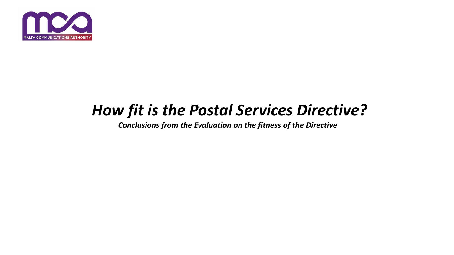

# *How fit is the Postal Services Directive?*

*Conclusions from the Evaluation on the fitness of the Directive*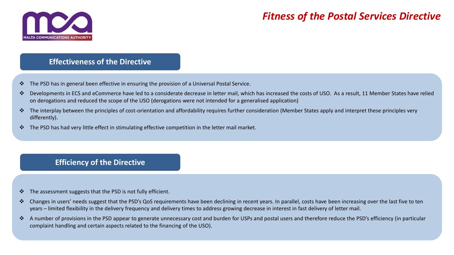

## *Fitness of the Postal Services Directive*

### **Effectiveness of the Directive**

- The PSD has in general been effective in ensuring the provision of a Universal Postal Service.
- Developments in ECS and eCommerce have led to a considerate decrease in letter mail, which has increased the costs of USO. As a result, 11 Member States have relied on derogations and reduced the scope of the USO (derogations were not intended for a generalised application)
- $\cdot \cdot$  The interplay between the principles of cost-orientation and affordability requires further consideration (Member States apply and interpret these principles very differently).
- $\clubsuit$  The PSD has had very little effect in stimulating effective competition in the letter mail market.

## **Efficiency of the Directive**

- $\cdot \cdot$  The assessment suggests that the PSD is not fully efficient.
- ❖ Changes in users' needs suggest that the PSD's QoS requirements have been declining in recent years. In parallel, costs have been increasing over the last five to ten years – limited flexibility in the delivery frequency and delivery times to address growing decrease in interest in fast delivery of letter mail.
- $\cdot$  A number of provisions in the PSD appear to generate unnecessary cost and burden for USPs and postal users and therefore reduce the PSD's efficiency (in particular complaint handling and certain aspects related to the financing of the USO).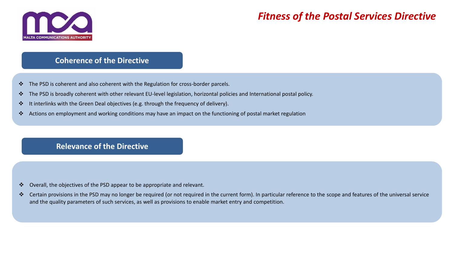

## *Fitness of the Postal Services Directive*

### **Coherence of the Directive**

- \* The PSD is coherent and also coherent with the Regulation for cross-border parcels.
- The PSD is broadly coherent with other relevant EU-level legislation, horizontal policies and International postal policy.
- It interlinks with the Green Deal objectives (e.g. through the frequency of delivery).
- Actions on employment and working conditions may have an impact on the functioning of postal market regulation

### **Relevance of the Directive**

- $\cdot \cdot$  Overall, the objectives of the PSD appear to be appropriate and relevant.
- ❖ Certain provisions in the PSD may no longer be required (or not required in the current form). In particular reference to the scope and features of the universal service and the quality parameters of such services, as well as provisions to enable market entry and competition.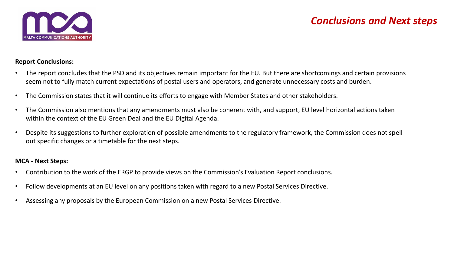

## *Conclusions and Next steps*

#### **Report Conclusions:**

- The report concludes that the PSD and its objectives remain important for the EU. But there are shortcomings and certain provisions seem not to fully match current expectations of postal users and operators, and generate unnecessary costs and burden.
- The Commission states that it will continue its efforts to engage with Member States and other stakeholders.
- The Commission also mentions that any amendments must also be coherent with, and support, EU level horizontal actions taken within the context of the EU Green Deal and the EU Digital Agenda.
- Despite its suggestions to further exploration of possible amendments to the regulatory framework, the Commission does not spell out specific changes or a timetable for the next steps.

#### **MCA - Next Steps:**

- Contribution to the work of the ERGP to provide views on the Commission's Evaluation Report conclusions.
- Follow developments at an EU level on any positions taken with regard to a new Postal Services Directive.
- Assessing any proposals by the European Commission on a new Postal Services Directive.